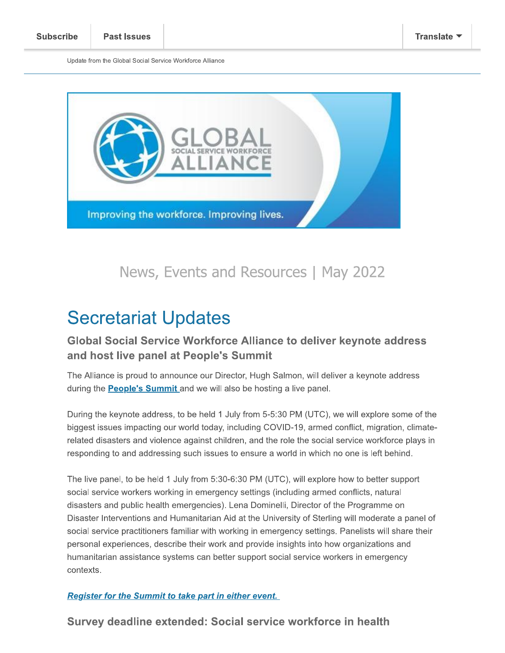Update from the Giobal Social Service Workforce Alliance



# Secretariat Updates

# Global Social Service Workforce Alliance to deliver keynote address and host live panel at People's Summit

The Alliance is proud to announce our Director, Hugh Salmon, will deliver a keynote address during the People's Summit and we will also be hosting a live panel.

During the keynote address, to be held 1 July from 5-5:30 PM (UTC), we will explore some of the  $\,$ biggest issues impacting our world today, including COVID-19, armed conflict, migration, climaterelated disasters and violence against children, and the role the social service workforce plays in responding to and addressing such issues to ensure a world in which no one is left behind.

The live panel, to be held 1 July from 5:30-6:30 PM (UTC), will explore now to better support social service workers working in emergency settings (including armed conflicts, natural disasters and public nealth emergencies). Lena Dominelli, Director of the Programme on Disaster Interventions and Humanitarian Aid at the University of Sterling will moderate a panel of social service practitioners familiar with working in emergency settings. Panelists will share their personal experiences, describe their work and provide insights into now organizations and humanitarian assistance systems can better support social service workers in emergency contexts.

**Register for the Summit to take part in either event.** 

Survey deadline extended: Social service workforce in health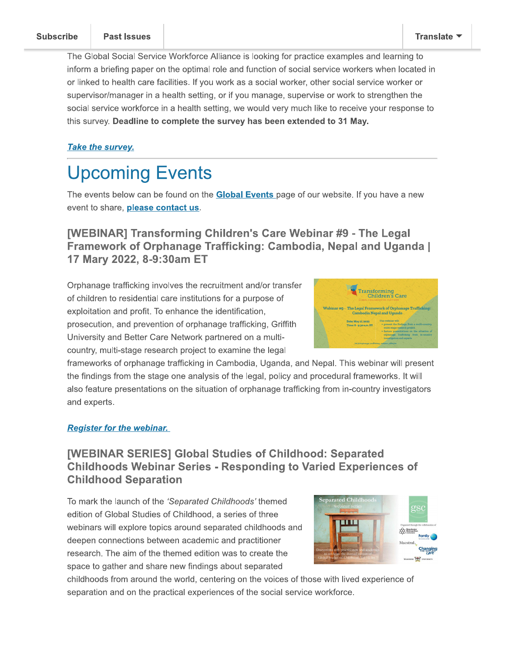#### **Subscribe**

The Global Social Service Workforce Alliance is looking for practice examples and learning to inform a briefing paper on the optimal role and function of social service workers when located in or linked to health care facilities. If you work as a social worker, other social service worker or supervisor/manager in a health setting, or if you manage, supervise or work to strengthen the social service workforce in a health setting, we would very much like to receive your response to this survey. Deadline to complete the survey has been extended to 31 May.

### **Take the survey.**

# **Upcoming Events**

The events below can be found on the **Global Events** page of our website. If you have a new event to share, **please contact us**.

# [WEBINAR] Transforming Children's Care Webinar #9 - The Legal Framework of Orphanage Trafficking: Cambodia, Nepal and Uganda | 17 Mary 2022, 8-9:30am ET

Orphanage trafficking involves the recruitment and/or transfer of children to residential care institutions for a purpose of exploitation and profit. To enhance the identification, prosecution, and prevention of orphanage trafficking, Griffith University and Better Care Network partnered on a multicountry, multi-stage research project to examine the legal



frameworks of orphanage trafficking in Cambodia, Uganda, and Nepal. This webinar will present the findings from the stage one analysis of the legal, policy and procedural frameworks. It will also feature presentations on the situation of orphanage trafficking from in-country investigators and experts.

#### **Register for the webinar.**

# **IWEBINAR SERIESI Global Studies of Childhood: Separated Childhoods Webinar Series - Responding to Varied Experiences of Childhood Separation**

To mark the launch of the 'Separated Childhoods' themed edition of Global Studies of Childhood, a series of three webinars will explore topics around separated childhoods and deepen connections between academic and practitioner research. The aim of the themed edition was to create the space to gather and share new findings about separated



childhoods from around the world, centering on the voices of those with lived experience of separation and on the practical experiences of the social service workforce.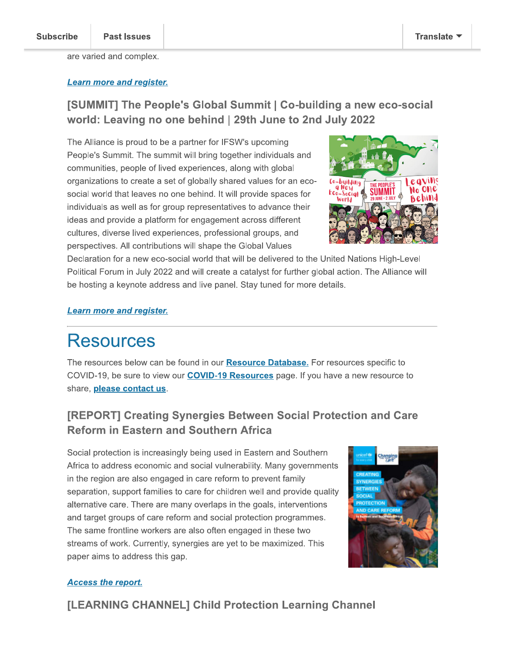are varied and complex.

#### **Learn more and register.**

# [SUMMIT] The People's Global Summit | Co-building a new eco-social world: Leaving no one behind | 29th June to 2nd July 2022

The Alliance is proud to be a partner for IFSW's upcoming People's Summit. The summit will bring together individuals and communities, people of lived experiences, along with global organizations to create a set of globally shared values for an ecosocial world that leaves no one behind. It will provide spaces for individuals as well as for group representatives to advance their ideas and provide a platform for engagement across different cultures, diverse lived experiences, professional groups, and perspectives. All contributions will shape the Global Values



Declaration for a new eco-social world that will be delivered to the United Nations High-Level Political Forum in July 2022 and will create a catalyst for further global action. The Alliance will be hosting a keynote address and live panel. Stay tuned for more details.

#### **Learn more and register.**

# **Resources**

The resources below can be found in our **Resource Database**. For resources specific to COVID-19, be sure to view our **COVID-19 Resources** page. If you have a new resource to share, please contact us.

# [REPORT] Creating Synergies Between Social Protection and Care **Reform in Eastern and Southern Africa**

Social protection is increasingly being used in Eastern and Southern Africa to address economic and social vulnerability. Many governments in the region are also engaged in care reform to prevent family separation, support families to care for children well and provide quality alternative care. There are many overlaps in the goals, interventions and target groups of care reform and social protection programmes. The same frontline workers are also often engaged in these two streams of work. Currently, synergies are yet to be maximized. This paper aims to address this gap.



#### **Access the report.**

[LEARNING CHANNEL] Child Protection Learning Channel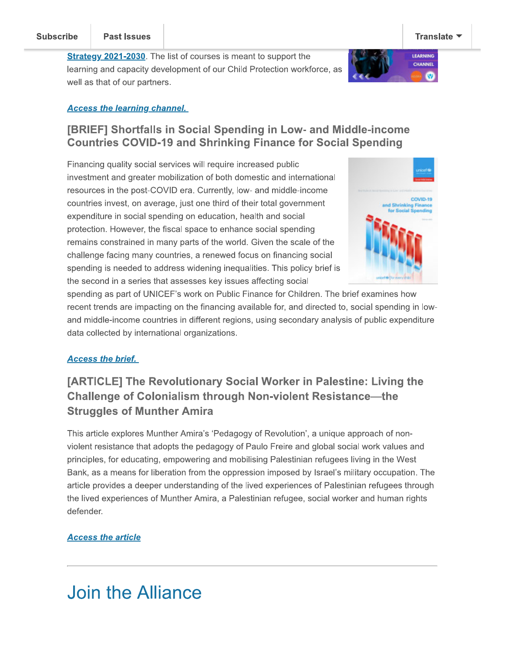**Strategy 2021-2030**. The list of courses is meant to support the learning and capacity development of our Child Protection workforce, as well as that of our partners.



### **Access the learning channel.**

### [BRIEF] Shortfalls in Social Spending in Low- and Middle-income **Countries COVID-19 and Shrinking Finance for Social Spending**

Financing quality social services will require increased public investment and greater mobilization of both domestic and international resources in the post-COVID era. Currently, low- and middle-income countries invest, on average, just one third of their total government expenditure in social spending on education, health and social protection. However, the fiscal space to enhance social spending remains constrained in many parts of the world. Given the scale of the challenge facing many countries, a renewed focus on financing social spending is needed to address widening inequalities. This policy brief is the second in a series that assesses key issues affecting social



spending as part of UNICEF's work on Public Finance for Children. The brief examines how recent trends are impacting on the financing available for, and directed to, social spending in lowand middle-income countries in different regions, using secondary analysis of public expenditure data collected by international organizations.

#### **Access the brief.**

# [ARTICLE] The Revolutionary Social Worker in Palestine: Living the **Challenge of Colonialism through Non-violent Resistance—the Struggles of Munther Amira**

This article explores Munther Amira's 'Pedagogy of Revolution', a unique approach of nonviolent resistance that adopts the pedagogy of Paulo Freire and global social work values and principles, for educating, empowering and mobilising Palestinian refugees living in the West Bank, as a means for liberation from the oppression imposed by Israel's military occupation. The article provides a deeper understanding of the lived experiences of Palestinian refugees through the lived experiences of Munther Amira, a Palestinian refugee, social worker and human rights defender.

#### **Access the article**

# **Join the Alliance**